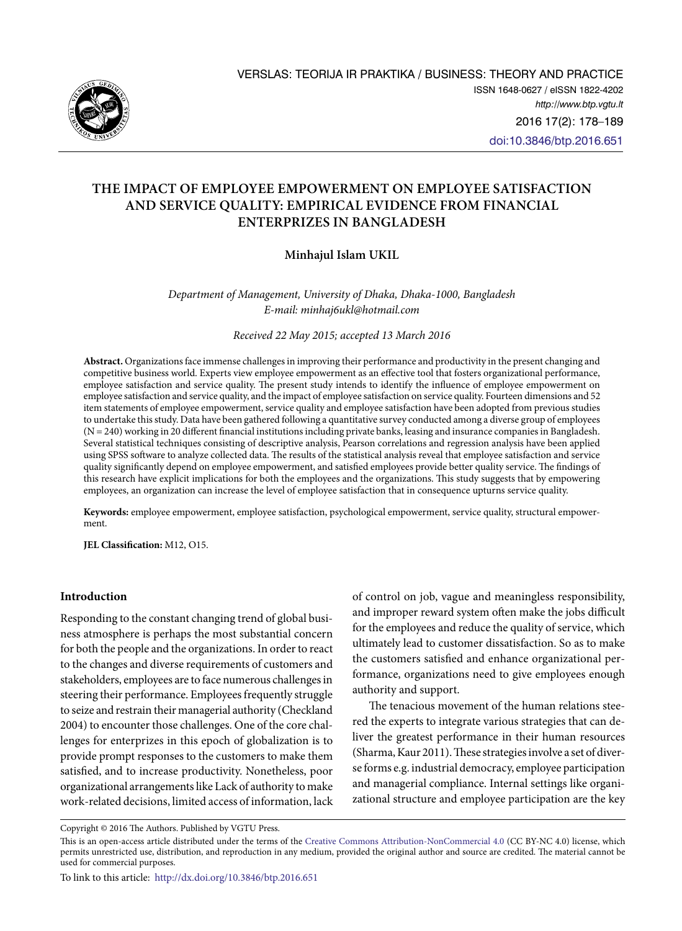

# **THE IMPACT OF EMPLOYEE EMPOWERMENT ON EMPLOYEE SATISFACTION AND SERVICE QUALITY: EMPIRICAL EVIDENCE FROM FINANCIAL ENTERPRIZES IN BANGLADESH**

## **Minhajul Islam UKIL**

*Department of Management, University of Dhaka, Dhaka-1000, Bangladesh E-mail: [minhaj6ukl@hotmail.com](mailto:minhaj6ukl@hotmail.com)*

*Received 22 May 2015; accepted 13 March 2016*

**Abstract.** Organizations face immense challenges in improving their performance and productivity in the present changing and competitive business world. Experts view employee empowerment as an effective tool that fosters organizational performance, employee satisfaction and service quality. The present study intends to identify the influence of employee empowerment on employee satisfaction and service quality, and the impact of employee satisfaction on service quality. Fourteen dimensions and 52 item statements of employee empowerment, service quality and employee satisfaction have been adopted from previous studies to undertake this study. Data have been gathered following a quantitative survey conducted among a diverse group of employees (N = 240) working in 20 different financial institutions including private banks, leasing and insurance companies in Bangladesh. Several statistical techniques consisting of descriptive analysis, Pearson correlations and regression analysis have been applied using SPSS software to analyze collected data. The results of the statistical analysis reveal that employee satisfaction and service quality significantly depend on employee empowerment, and satisfied employees provide better quality service. The findings of this research have explicit implications for both the employees and the organizations. This study suggests that by empowering employees, an organization can increase the level of employee satisfaction that in consequence upturns service quality.

**Keywords:** employee empowerment, employee satisfaction, psychological empowerment, service quality, structural empowerment.

**JEL Classification:** M12, O15.

### **Introduction**

Responding to the constant changing trend of global business atmosphere is perhaps the most substantial concern for both the people and the organizations. In order to react to the changes and diverse requirements of customers and stakeholders, employees are to face numerous challenges in steering their performance. Employees frequently struggle to seize and restrain their managerial authority (Checkland 2004) to encounter those challenges. One of the core challenges for enterprizes in this epoch of globalization is to provide prompt responses to the customers to make them satisfied, and to increase productivity. Nonetheless, poor organizational arrangements like Lack of authority to make work-related decisions, limited access of information, lack

of control on job, vague and meaningless responsibility, and improper reward system often make the jobs difficult for the employees and reduce the quality of service, which ultimately lead to customer dissatisfaction. So as to make the customers satisfied and enhance organizational performance, organizations need to give employees enough authority and support.

The tenacious movement of the human relations steered the experts to integrate various strategies that can deliver the greatest performance in their human resources (Sharma, Kaur 2011). These strategies involve a set of diverse forms e.g. industrial democracy, employee participation and managerial compliance. Internal settings like organizational structure and employee participation are the key

Copyright © 2016 The Authors. Published by VGTU Press.

This is an open-access article distributed under the terms of the [Creative Commons Attribution-NonCommercial 4.0](http://creativecommons.org/licenses/by-nc/4.0/) (CC BY-NC 4.0) license, which permits unrestricted use, distribution, and reproduction in any medium, provided the original author and source are credited. The material cannot be used for commercial purposes.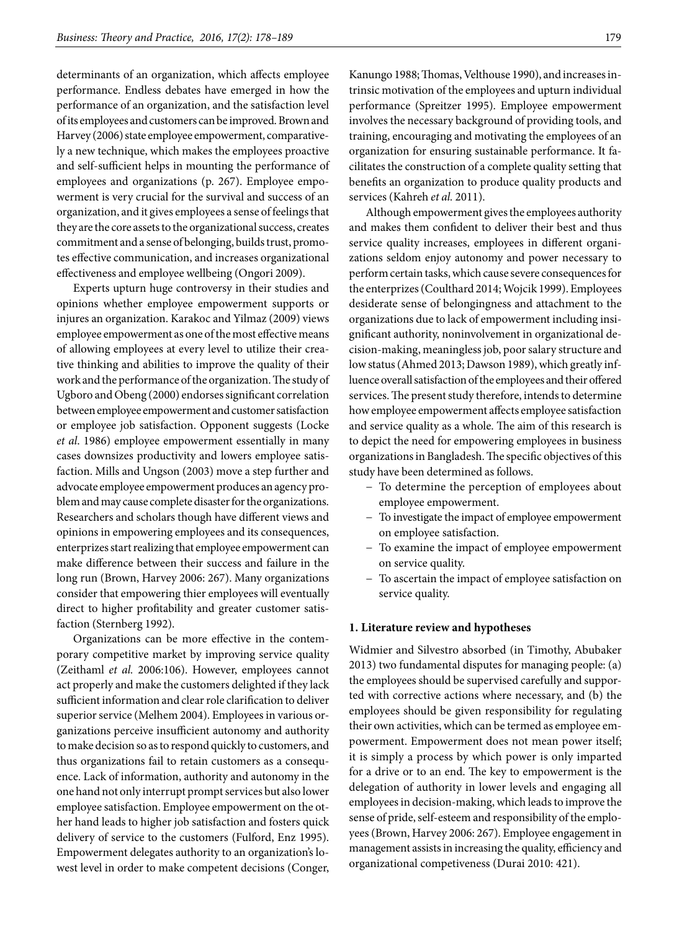determinants of an organization, which affects employee performance. Endless debates have emerged in how the performance of an organization, and the satisfaction level of its employees and customers can be improved. Brown and Harvey (2006) state employee empowerment, comparatively a new technique, which makes the employees proactive and self-sufficient helps in mounting the performance of employees and organizations (p. 267). Employee empowerment is very crucial for the survival and success of an organization, and it gives employees a sense of feelings that they are the core assets to the organizational success, creates commitment and a sense of belonging, builds trust, promotes effective communication, and increases organizational effectiveness and employee wellbeing (Ongori 2009).

Experts upturn huge controversy in their studies and opinions whether employee empowerment supports or injures an organization. Karakoc and Yilmaz (2009) views employee empowerment as one of the most effective means of allowing employees at every level to utilize their creative thinking and abilities to improve the quality of their work and the performance of the organization. The study of Ugboro and Obeng (2000) endorses significant correlation between employee empowerment and customer satisfaction or employee job satisfaction. Opponent suggests (Locke *et al*. 1986) employee empowerment essentially in many cases downsizes productivity and lowers employee satisfaction. Mills and Ungson (2003) move a step further and advocate employee empowerment produces an agency problem and may cause complete disaster for the organizations. Researchers and scholars though have different views and opinions in empowering employees and its consequences, enterprizes start realizing that employee empowerment can make difference between their success and failure in the long run (Brown, Harvey 2006: 267). Many organizations consider that empowering thier employees will eventually direct to higher profitability and greater customer satisfaction (Sternberg 1992).

Organizations can be more effective in the contemporary competitive market by improving service quality (Zeithaml *et al.* 2006:106). However, employees cannot act properly and make the customers delighted if they lack sufficient information and clear role clarification to deliver superior service (Melhem 2004). Employees in various organizations perceive insufficient autonomy and authority to make decision so as to respond quickly to customers, and thus organizations fail to retain customers as a consequence. Lack of information, authority and autonomy in the one hand not only interrupt prompt services but also lower employee satisfaction. Employee empowerment on the other hand leads to higher job satisfaction and fosters quick delivery of service to the customers (Fulford, Enz 1995). Empowerment delegates authority to an organization's lowest level in order to make competent decisions (Conger,

Kanungo 1988; Thomas, Velthouse 1990), and increases intrinsic motivation of the employees and upturn individual performance (Spreitzer 1995). Employee empowerment involves the necessary background of providing tools, and training, encouraging and motivating the employees of an organization for ensuring sustainable performance. It facilitates the construction of a complete quality setting that benefits an organization to produce quality products and services (Kahreh *et al.* 2011).

Although empowerment gives the employees authority and makes them confident to deliver their best and thus service quality increases, employees in different organizations seldom enjoy autonomy and power necessary to perform certain tasks, which cause severe consequences for the enterprizes (Coulthard 2014; Wojcik 1999). Employees desiderate sense of belongingness and attachment to the organizations due to lack of empowerment including insignificant authority, noninvolvement in organizational decision-making, meaningless job, poor salary structure and low status (Ahmed 2013; Dawson 1989), which greatly influence overall satisfaction of the employees and their offered services. The present study therefore, intends to determine how employee empowerment affects employee satisfaction and service quality as a whole. The aim of this research is to depict the need for empowering employees in business organizations in Bangladesh. The specific objectives of this study have been determined as follows.

- − To determine the perception of employees about employee empowerment.
- − To investigate the impact of employee empowerment on employee satisfaction.
- − To examine the impact of employee empowerment on service quality.
- − To ascertain the impact of employee satisfaction on service quality.

## **1. Literature review and hypotheses**

Widmier and Silvestro absorbed (in Timothy, Abubaker 2013) two fundamental disputes for managing people: (a) the employees should be supervised carefully and supported with corrective actions where necessary, and (b) the employees should be given responsibility for regulating their own activities, which can be termed as employee empowerment. Empowerment does not mean power itself; it is simply a process by which power is only imparted for a drive or to an end. The key to empowerment is the delegation of authority in lower levels and engaging all employees in decision-making, which leads to improve the sense of pride, self-esteem and responsibility of the employees (Brown, Harvey 2006: 267). Employee engagement in management assists in increasing the quality, efficiency and organizational competiveness (Durai 2010: 421).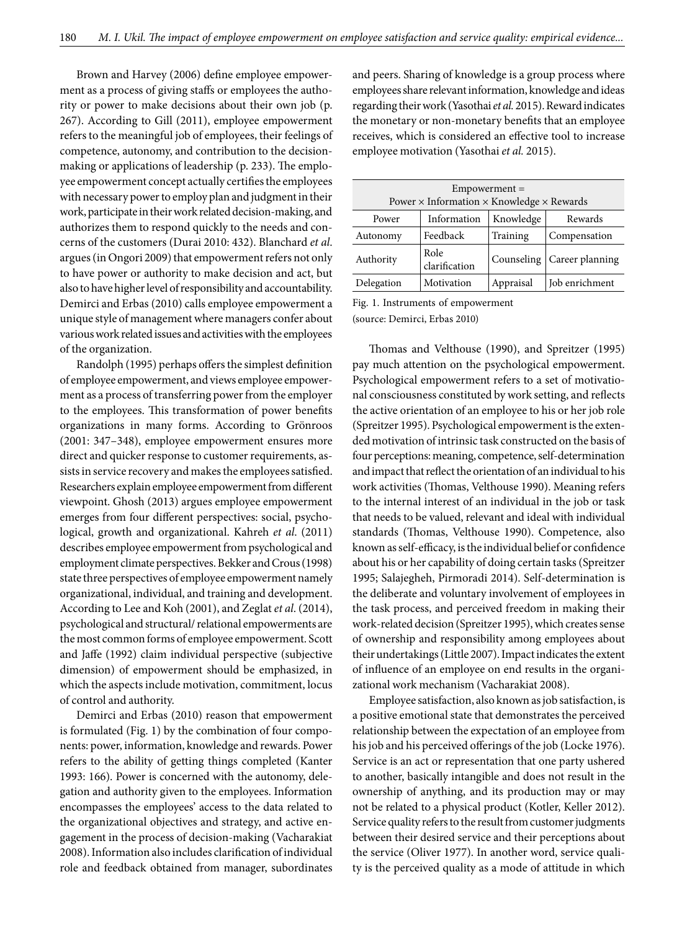Brown and Harvey (2006) define employee empowerment as a process of giving staffs or employees the authority or power to make decisions about their own job (p. 267). According to Gill (2011), employee empowerment refers to the meaningful job of employees, their feelings of competence, autonomy, and contribution to the decisionmaking or applications of leadership (p. 233). The employee empowerment concept actually certifies the employees with necessary power to employ plan and judgment in their work, participate in their work related decision-making, and authorizes them to respond quickly to the needs and concerns of the customers (Durai 2010: 432). Blanchard *et al*. argues (in Ongori 2009) that empowerment refers not only to have power or authority to make decision and act, but also to have higher level of responsibility and accountability. Demirci and Erbas (2010) calls employee empowerment a unique style of management where managers confer about various work related issues and activities with the employees of the organization.

Randolph (1995) perhaps offers the simplest definition of employee empowerment, and views employee empowerment as a process of transferring power from the employer to the employees. This transformation of power benefits organizations in many forms. According to Grönroos (2001: 347–348), employee empowerment ensures more direct and quicker response to customer requirements, assists in service recovery and makes the employees satisfied. Researchers explain employee empowerment from different viewpoint. Ghosh (2013) argues employee empowerment emerges from four different perspectives: social, psychological, growth and organizational. Kahreh *et al*. (2011) describes employee empowerment from psychological and employment climate perspectives. Bekker and Crous (1998) state three perspectives of employee empowerment namely organizational, individual, and training and development. According to Lee and Koh (2001), and Zeglat *et al*. (2014), psychological and structural/ relational empowerments are the most common forms of employee empowerment. Scott and Jaffe (1992) claim individual perspective (subjective dimension) of empowerment should be emphasized, in which the aspects include motivation, commitment, locus of control and authority.

Demirci and Erbas (2010) reason that empowerment is formulated (Fig. 1) by the combination of four components: power, information, knowledge and rewards. Power refers to the ability of getting things completed (Kanter 1993: 166). Power is concerned with the autonomy, delegation and authority given to the employees. Information encompasses the employees' access to the data related to the organizational objectives and strategy, and active engagement in the process of decision-making (Vacharakiat 2008). Information also includes clarification of individual role and feedback obtained from manager, subordinates

and peers. Sharing of knowledge is a group process where employees share relevant information, knowledge and ideas regarding their work (Yasothai *et al.* 2015). Reward indicates the monetary or non-monetary benefits that an employee receives, which is considered an effective tool to increase employee motivation (Yasothai *et al.* 2015).

| Empowerment =<br>Power $\times$ Information $\times$ Knowledge $\times$ Rewards |                                     |            |                 |  |  |  |  |
|---------------------------------------------------------------------------------|-------------------------------------|------------|-----------------|--|--|--|--|
| Power                                                                           | Knowledge<br>Rewards<br>Information |            |                 |  |  |  |  |
| Autonomy                                                                        | Feedback                            | Training   | Compensation    |  |  |  |  |
| Authority                                                                       | Role<br>clarification               | Counseling | Career planning |  |  |  |  |
| Delegation                                                                      | Motivation                          | Appraisal  | Job enrichment  |  |  |  |  |

Fig. 1. Instruments of empowerment (source: Demirci, Erbas 2010)

Thomas and Velthouse (1990), and Spreitzer (1995) pay much attention on the psychological empowerment. Psychological empowerment refers to a set of motivational consciousness constituted by work setting, and reflects the active orientation of an employee to his or her job role (Spreitzer 1995). Psychological empowerment is the extended motivation of intrinsic task constructed on the basis of four perceptions: meaning, competence, self-determination and impact that reflect the orientation of an individual to his work activities (Thomas, Velthouse 1990). Meaning refers to the internal interest of an individual in the job or task that needs to be valued, relevant and ideal with individual standards (Thomas, Velthouse 1990). Competence, also known as self-efficacy, is the individual belief or confidence about his or her capability of doing certain tasks (Spreitzer 1995; Salajegheh, Pirmoradi 2014). Self-determination is the deliberate and voluntary involvement of employees in the task process, and perceived freedom in making their work-related decision (Spreitzer 1995), which creates sense of ownership and responsibility among employees about their undertakings (Little 2007). Impact indicates the extent of influence of an employee on end results in the organizational work mechanism (Vacharakiat 2008).

Employee satisfaction, also known as job satisfaction, is a positive emotional state that demonstrates the perceived relationship between the expectation of an employee from his job and his perceived offerings of the job (Locke 1976). Service is an act or representation that one party ushered to another, basically intangible and does not result in the ownership of anything, and its production may or may not be related to a physical product (Kotler, Keller 2012). Service quality refers to the result from customer judgments between their desired service and their perceptions about the service (Oliver 1977). In another word, service quality is the perceived quality as a mode of attitude in which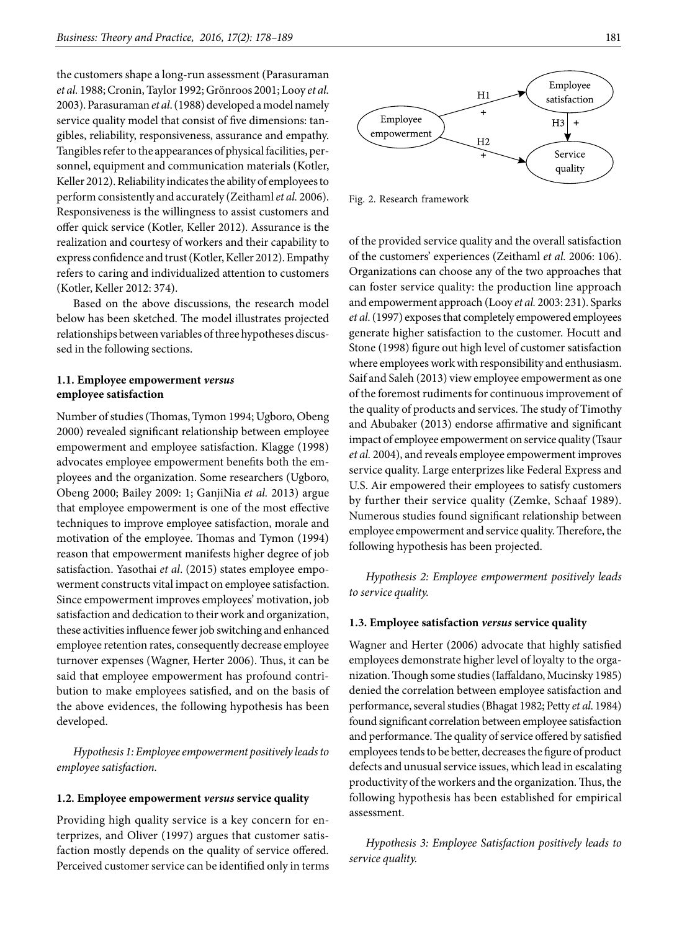the customers shape a long-run assessment (Parasuraman *et al.* 1988; Cronin, Taylor 1992; Grönroos 2001; Looy *et al.* 2003). Parasuraman *et al*. (1988) developed a model namely service quality model that consist of five dimensions: tangibles, reliability, responsiveness, assurance and empathy. Tangibles refer to the appearances of physical facilities, personnel, equipment and communication materials (Kotler, Keller 2012). Reliability indicates the ability of employees to perform consistently and accurately (Zeithaml *et al.* 2006). Responsiveness is the willingness to assist customers and offer quick service (Kotler, Keller 2012). Assurance is the realization and courtesy of workers and their capability to express confidence and trust (Kotler, Keller 2012). Empathy refers to caring and individualized attention to customers (Kotler, Keller 2012: 374).

Based on the above discussions, the research model below has been sketched. The model illustrates projected relationships between variables of three hypotheses discussed in the following sections.

### **1.1. Employee empowerment** *versus* **employee satisfaction**

Number of studies (Thomas, Tymon 1994; Ugboro, Obeng 2000) revealed significant relationship between employee empowerment and employee satisfaction. Klagge (1998) advocates employee empowerment benefits both the employees and the organization. Some researchers (Ugboro, Obeng 2000; Bailey 2009: 1; GanjiNia *et al.* 2013) argue that employee empowerment is one of the most effective techniques to improve employee satisfaction, morale and motivation of the employee. Thomas and Tymon (1994) reason that empowerment manifests higher degree of job satisfaction. Yasothai *et al*. (2015) states employee empowerment constructs vital impact on employee satisfaction. Since empowerment improves employees' motivation, job satisfaction and dedication to their work and organization, these activities influence fewer job switching and enhanced employee retention rates, consequently decrease employee turnover expenses (Wagner, Herter 2006). Thus, it can be said that employee empowerment has profound contribution to make employees satisfied, and on the basis of the above evidences, the following hypothesis has been developed.

*Hypothesis 1: Employee empowerment positively leads to employee satisfaction.*

### **1.2. Employee empowerment** *versus* **service quality**

Providing high quality service is a key concern for enterprizes, and Oliver (1997) argues that customer satisfaction mostly depends on the quality of service offered. Perceived customer service can be identified only in terms



Fig. 2. Research framework

of the provided service quality and the overall satisfaction of the customers' experiences (Zeithaml *et al.* 2006: 106). Organizations can choose any of the two approaches that can foster service quality: the production line approach and empowerment approach (Looy *et al.* 2003: 231). Sparks *et al*. (1997) exposes that completely empowered employees generate higher satisfaction to the customer. Hocutt and Stone (1998) figure out high level of customer satisfaction where employees work with responsibility and enthusiasm. Saif and Saleh (2013) view employee empowerment as one of the foremost rudiments for continuous improvement of the quality of products and services. The study of Timothy and Abubaker (2013) endorse affirmative and significant impact of employee empowerment on service quality (Tsaur *et al.* 2004), and reveals employee empowerment improves service quality. Large enterprizes like Federal Express and U.S. Air empowered their employees to satisfy customers by further their service quality (Zemke, Schaaf 1989). Numerous studies found significant relationship between employee empowerment and service quality. Therefore, the following hypothesis has been projected.

*Hypothesis 2: Employee empowerment positively leads to service quality.* 

#### **1.3. Employee satisfaction** *versus* **service quality**

Wagner and Herter (2006) advocate that highly satisfied employees demonstrate higher level of loyalty to the organization. Though some studies (Iaffaldano, Mucinsky 1985) denied the correlation between employee satisfaction and performance, several studies (Bhagat 1982; Petty *et al*. 1984) found significant correlation between employee satisfaction and performance. The quality of service offered by satisfied employees tends to be better, decreases the figure of product defects and unusual service issues, which lead in escalating productivity of the workers and the organization. Thus, the following hypothesis has been established for empirical assessment.

*Hypothesis 3: Employee Satisfaction positively leads to service quality.*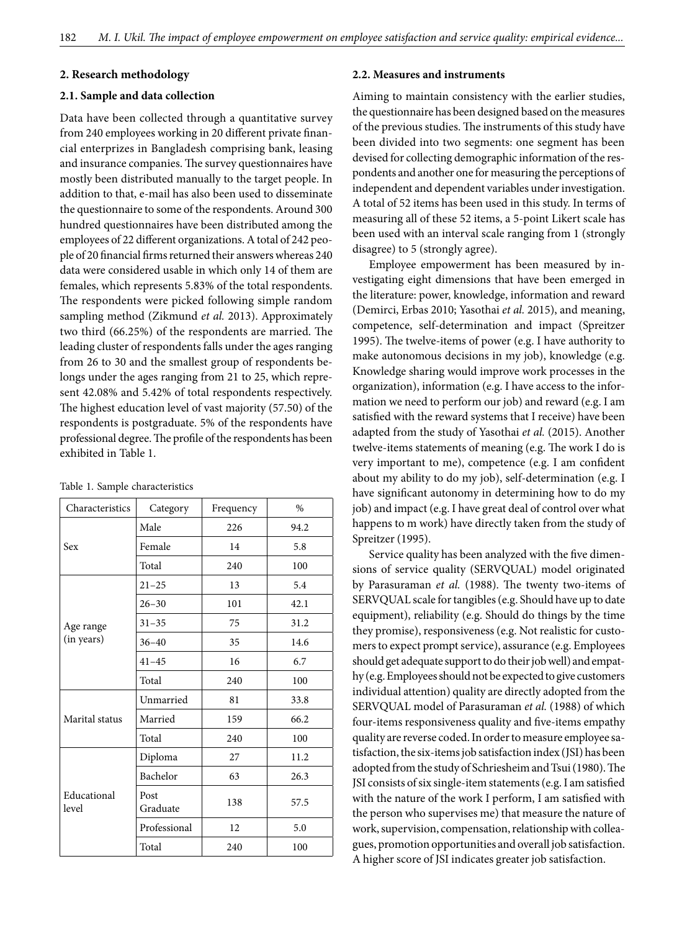#### **2. Research methodology**

#### **2.1. Sample and data collection**

Data have been collected through a quantitative survey from 240 employees working in 20 different private financial enterprizes in Bangladesh comprising bank, leasing and insurance companies. The survey questionnaires have mostly been distributed manually to the target people. In addition to that, e-mail has also been used to disseminate the questionnaire to some of the respondents. Around 300 hundred questionnaires have been distributed among the employees of 22 different organizations. A total of 242 people of 20 financial firms returned their answers whereas 240 data were considered usable in which only 14 of them are females, which represents 5.83% of the total respondents. The respondents were picked following simple random sampling method (Zikmund *et al.* 2013). Approximately two third (66.25%) of the respondents are married. The leading cluster of respondents falls under the ages ranging from 26 to 30 and the smallest group of respondents belongs under the ages ranging from 21 to 25, which represent 42.08% and 5.42% of total respondents respectively. The highest education level of vast majority (57.50) of the respondents is postgraduate. 5% of the respondents have professional degree. The profile of the respondents has been exhibited in Table 1.

| Characteristics      | Category         | Frequency | $\%$ |
|----------------------|------------------|-----------|------|
|                      | Male             | 226       | 94.2 |
| Sex                  | Female           | 14        | 5.8  |
|                      | Total            | 240       | 100  |
|                      | $21 - 25$        | 13        | 5.4  |
|                      | $26 - 30$        | 101       | 42.1 |
| Age range            | $31 - 35$        | 75        | 31.2 |
| (in years)           | $36 - 40$        | 35        | 14.6 |
|                      | $41 - 45$        | 16        | 6.7  |
|                      | Total            | 240       | 100  |
|                      | Unmarried        | 81        | 33.8 |
| Marital status       | Married          | 159       | 66.2 |
|                      | Total            | 240       | 100  |
|                      | Diploma          | 27        | 11.2 |
|                      | Bachelor         | 63        | 26.3 |
| Educational<br>level | Post<br>Graduate | 138       | 57.5 |
|                      | Professional     | 12        | 5.0  |
|                      | Total            | 240       | 100  |

Table 1. Sample characteristics

#### **2.2. Measures and instruments**

Aiming to maintain consistency with the earlier studies, the questionnaire has been designed based on the measures of the previous studies. The instruments of this study have been divided into two segments: one segment has been devised for collecting demographic information of the respondents and another one for measuring the perceptions of independent and dependent variables under investigation. A total of 52 items has been used in this study. In terms of measuring all of these 52 items, a 5-point Likert scale has been used with an interval scale ranging from 1 (strongly disagree) to 5 (strongly agree).

Employee empowerment has been measured by investigating eight dimensions that have been emerged in the literature: power, knowledge, information and reward (Demirci, Erbas 2010; Yasothai *et al.* 2015), and meaning, competence, self-determination and impact (Spreitzer 1995). The twelve-items of power (e.g. I have authority to make autonomous decisions in my job), knowledge (e.g. Knowledge sharing would improve work processes in the organization), information (e.g. I have access to the information we need to perform our job) and reward (e.g. I am satisfied with the reward systems that I receive) have been adapted from the study of Yasothai *et al.* (2015). Another twelve-items statements of meaning (e.g. The work I do is very important to me), competence (e.g. I am confident about my ability to do my job), self-determination (e.g. I have significant autonomy in determining how to do my job) and impact (e.g. I have great deal of control over what happens to m work) have directly taken from the study of Spreitzer (1995).

Service quality has been analyzed with the five dimensions of service quality (SERVQUAL) model originated by Parasuraman *et al.* (1988). The twenty two-items of SERVQUAL scale for tangibles (e.g. Should have up to date equipment), reliability (e.g. Should do things by the time they promise), responsiveness (e.g. Not realistic for customers to expect prompt service), assurance (e.g. Employees should get adequate support to do their job well) and empathy (e.g. Employees should not be expected to give customers individual attention) quality are directly adopted from the SERVQUAL model of Parasuraman *et al.* (1988) of which four-items responsiveness quality and five-items empathy quality are reverse coded. In order to measure employee satisfaction, the six-items job satisfaction index (JSI) has been adopted from the study of Schriesheim and Tsui (1980). The JSI consists of six single-item statements (e.g. I am satisfied with the nature of the work I perform, I am satisfied with the person who supervises me) that measure the nature of work, supervision, compensation, relationship with colleagues, promotion opportunities and overall job satisfaction. A higher score of JSI indicates greater job satisfaction.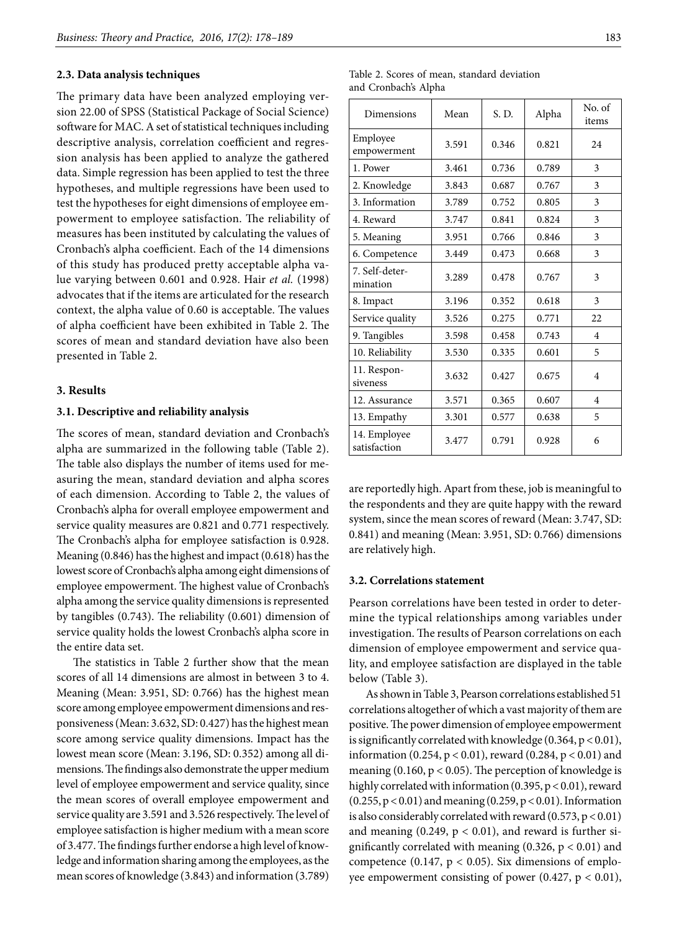### **2.3. Data analysis techniques**

The primary data have been analyzed employing version 22.00 of SPSS (Statistical Package of Social Science) software for MAC. A set of statistical techniques including descriptive analysis, correlation coefficient and regression analysis has been applied to analyze the gathered data. Simple regression has been applied to test the three hypotheses, and multiple regressions have been used to test the hypotheses for eight dimensions of employee empowerment to employee satisfaction. The reliability of measures has been instituted by calculating the values of Cronbach's alpha coefficient. Each of the 14 dimensions of this study has produced pretty acceptable alpha value varying between 0.601 and 0.928. Hair *et al.* (1998) advocates that if the items are articulated for the research context, the alpha value of 0.60 is acceptable. The values of alpha coefficient have been exhibited in Table 2. The scores of mean and standard deviation have also been presented in Table 2.

### **3. Results**

### **3.1. Descriptive and reliability analysis**

The scores of mean, standard deviation and Cronbach's alpha are summarized in the following table (Table 2). The table also displays the number of items used for measuring the mean, standard deviation and alpha scores of each dimension. According to Table 2, the values of Cronbach's alpha for overall employee empowerment and service quality measures are 0.821 and 0.771 respectively. The Cronbach's alpha for employee satisfaction is 0.928. Meaning (0.846) has the highest and impact (0.618) has the lowest score of Cronbach's alpha among eight dimensions of employee empowerment. The highest value of Cronbach's alpha among the service quality dimensions is represented by tangibles (0.743). The reliability (0.601) dimension of service quality holds the lowest Cronbach's alpha score in the entire data set.

The statistics in Table 2 further show that the mean scores of all 14 dimensions are almost in between 3 to 4. Meaning (Mean: 3.951, SD: 0.766) has the highest mean score among employee empowerment dimensions and responsiveness (Mean: 3.632, SD: 0.427) has the highest mean score among service quality dimensions. Impact has the lowest mean score (Mean: 3.196, SD: 0.352) among all dimensions. The findings also demonstrate the upper medium level of employee empowerment and service quality, since the mean scores of overall employee empowerment and service quality are 3.591 and 3.526 respectively. The level of employee satisfaction is higher medium with a mean score of 3.477. The findings further endorse a high level of knowledge and information sharing among the employees, as the mean scores of knowledge (3.843) and information (3.789)

|  |                      |  | Table 2. Scores of mean, standard deviation |
|--|----------------------|--|---------------------------------------------|
|  | and Cronbach's Alpha |  |                                             |

| Dimensions                   | Mean  | S. D. | Alpha | No. of<br>items |
|------------------------------|-------|-------|-------|-----------------|
| Employee<br>empowerment      | 3.591 | 0.346 | 0.821 | 24              |
| 1. Power                     | 3.461 | 0.736 | 0.789 | 3               |
| 2. Knowledge                 | 3.843 | 0.687 | 0.767 | 3               |
| 3. Information               | 3.789 | 0.752 | 0.805 | 3               |
| 4. Reward                    | 3.747 | 0.841 | 0.824 | 3               |
| 5. Meaning                   | 3.951 | 0.766 | 0.846 | 3               |
| 6. Competence                | 3.449 | 0.473 | 0.668 | 3               |
| 7. Self-deter-<br>mination   | 3.289 | 0.478 | 0.767 | 3               |
| 8. Impact                    | 3.196 | 0.352 | 0.618 | 3               |
| Service quality              | 3.526 | 0.275 | 0.771 | 22              |
| 9. Tangibles                 | 3.598 | 0.458 | 0.743 | $\overline{4}$  |
| 10. Reliability              | 3.530 | 0.335 | 0.601 | 5               |
| 11. Respon-<br>siveness      | 3.632 | 0.427 | 0.675 | 4               |
| 12. Assurance                | 3.571 | 0.365 | 0.607 | $\overline{4}$  |
| 13. Empathy                  | 3.301 | 0.577 | 0.638 | 5               |
| 14. Employee<br>satisfaction | 3.477 | 0.791 | 0.928 | 6               |

are reportedly high. Apart from these, job is meaningful to the respondents and they are quite happy with the reward system, since the mean scores of reward (Mean: 3.747, SD: 0.841) and meaning (Mean: 3.951, SD: 0.766) dimensions are relatively high.

### **3.2. Correlations statement**

Pearson correlations have been tested in order to determine the typical relationships among variables under investigation. The results of Pearson correlations on each dimension of employee empowerment and service quality, and employee satisfaction are displayed in the table below (Table 3).

As shown in Table 3, Pearson correlations established 51 correlations altogether of which a vast majority of them are positive. The power dimension of employee empowerment is significantly correlated with knowledge (0.364, p < 0.01), information (0.254, p < 0.01), reward (0.284, p < 0.01) and meaning (0.160,  $p < 0.05$ ). The perception of knowledge is highly correlated with information (0.395, p < 0.01), reward (0.255, p < 0.01) and meaning (0.259, p < 0.01). Information is also considerably correlated with reward (0.573, p < 0.01) and meaning  $(0.249, p < 0.01)$ , and reward is further significantly correlated with meaning  $(0.326, p < 0.01)$  and competence (0.147,  $p < 0.05$ ). Six dimensions of employee empowerment consisting of power (0.427,  $p < 0.01$ ),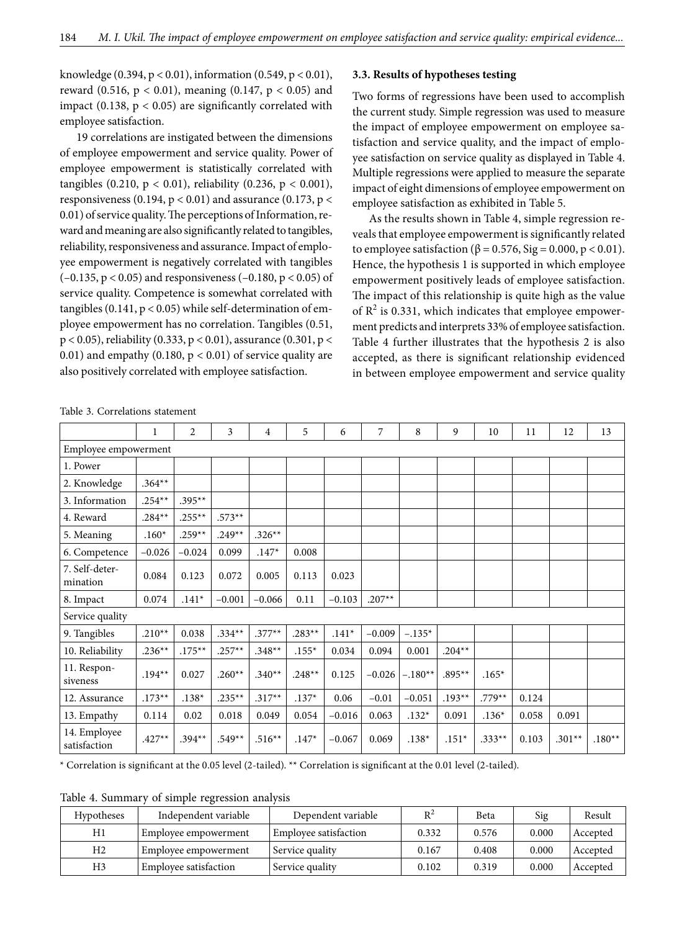knowledge (0.394,  $p < 0.01$ ), information (0.549,  $p < 0.01$ ), reward (0.516,  $p < 0.01$ ), meaning (0.147,  $p < 0.05$ ) and impact (0.138,  $p < 0.05$ ) are significantly correlated with employee satisfaction.

19 correlations are instigated between the dimensions of employee empowerment and service quality. Power of employee empowerment is statistically correlated with tangibles (0.210,  $p < 0.01$ ), reliability (0.236,  $p < 0.001$ ), responsiveness (0.194,  $p < 0.01$ ) and assurance (0.173,  $p <$ 0.01) of service quality. The perceptions of Information, reward and meaning are also significantly related to tangibles, reliability, responsiveness and assurance. Impact of employee empowerment is negatively correlated with tangibles ( $-0.135$ ,  $p < 0.05$ ) and responsiveness ( $-0.180$ ,  $p < 0.05$ ) of service quality. Competence is somewhat correlated with tangibles  $(0.141, p < 0.05)$  while self-determination of employee empowerment has no correlation. Tangibles (0.51, p < 0.05), reliability (0.333, p < 0.01), assurance (0.301, p < 0.01) and empathy (0.180,  $p < 0.01$ ) of service quality are also positively correlated with employee satisfaction.

#### **3.3. Results of hypotheses testing**

Two forms of regressions have been used to accomplish the current study. Simple regression was used to measure the impact of employee empowerment on employee satisfaction and service quality, and the impact of employee satisfaction on service quality as displayed in Table 4. Multiple regressions were applied to measure the separate impact of eight dimensions of employee empowerment on employee satisfaction as exhibited in Table 5.

As the results shown in Table 4, simple regression reveals that employee empowerment is significantly related to employee satisfaction ( $\beta$  = 0.576, Sig = 0.000, p < 0.01). Hence, the hypothesis 1 is supported in which employee empowerment positively leads of employee satisfaction. The impact of this relationship is quite high as the value of  $R^2$  is 0.331, which indicates that employee empowerment predicts and interprets 33% of employee satisfaction. Table 4 further illustrates that the hypothesis 2 is also accepted, as there is significant relationship evidenced in between employee empowerment and service quality

|                              | 1         | 2         | 3        | 4        | 5        | 6        | 7        | 8         | 9        | 10       | 11    | 12       | 13       |
|------------------------------|-----------|-----------|----------|----------|----------|----------|----------|-----------|----------|----------|-------|----------|----------|
| Employee empowerment         |           |           |          |          |          |          |          |           |          |          |       |          |          |
| 1. Power                     |           |           |          |          |          |          |          |           |          |          |       |          |          |
| 2. Knowledge                 | $.364**$  |           |          |          |          |          |          |           |          |          |       |          |          |
| 3. Information               | $.254***$ | $.395**$  |          |          |          |          |          |           |          |          |       |          |          |
| 4. Reward                    | $.284**$  | $.255***$ | $.573**$ |          |          |          |          |           |          |          |       |          |          |
| 5. Meaning                   | $.160*$   | $.259**$  | $.249**$ | $.326**$ |          |          |          |           |          |          |       |          |          |
| 6. Competence                | $-0.026$  | $-0.024$  | 0.099    | $.147*$  | 0.008    |          |          |           |          |          |       |          |          |
| 7. Self-deter-<br>mination   | 0.084     | 0.123     | 0.072    | 0.005    | 0.113    | 0.023    |          |           |          |          |       |          |          |
| 8. Impact                    | 0.074     | $.141*$   | $-0.001$ | $-0.066$ | 0.11     | $-0.103$ | $.207**$ |           |          |          |       |          |          |
| Service quality              |           |           |          |          |          |          |          |           |          |          |       |          |          |
| 9. Tangibles                 | $.210**$  | 0.038     | $.334**$ | $.377**$ | $.283**$ | $.141*$  | $-0.009$ | $-.135*$  |          |          |       |          |          |
| 10. Reliability              | $.236**$  | $.175***$ | $.257**$ | $.348**$ | $.155*$  | 0.034    | 0.094    | 0.001     | $.204**$ |          |       |          |          |
| 11. Respon-<br>siveness      | $.194**$  | 0.027     | $.260**$ | $.340**$ | $.248**$ | 0.125    | $-0.026$ | $-.180**$ | $.895**$ | $.165*$  |       |          |          |
| 12. Assurance                | $.173**$  | $.138*$   | $.235**$ | $.317**$ | $.137*$  | 0.06     | $-0.01$  | $-0.051$  | $.193**$ | $.779**$ | 0.124 |          |          |
| 13. Empathy                  | 0.114     | 0.02      | 0.018    | 0.049    | 0.054    | $-0.016$ | 0.063    | $.132*$   | 0.091    | $.136*$  | 0.058 | 0.091    |          |
| 14. Employee<br>satisfaction | $.427**$  | $.394**$  | $.549**$ | $.516**$ | $.147*$  | $-0.067$ | 0.069    | $.138*$   | $.151*$  | $.333**$ | 0.103 | $.301**$ | $.180**$ |

\* Correlation is significant at the 0.05 level (2-tailed). \*\* Correlation is significant at the 0.01 level (2-tailed).

Table 4. Summary of simple regression analysis

| <b>Hypotheses</b> | Independent variable  | Dependent variable    | $R^2$ | Beta  | Sig   | Result   |
|-------------------|-----------------------|-----------------------|-------|-------|-------|----------|
| H1                | Employee empowerment  | Employee satisfaction | 0.332 | 0.576 | 0.000 | Accepted |
| H2                | Employee empowerment  | Service quality       | 0.167 | 0.408 | 0.000 | Accepted |
| H3                | Employee satisfaction | Service quality       | 0.102 | 0.319 | 0.000 | Accepted |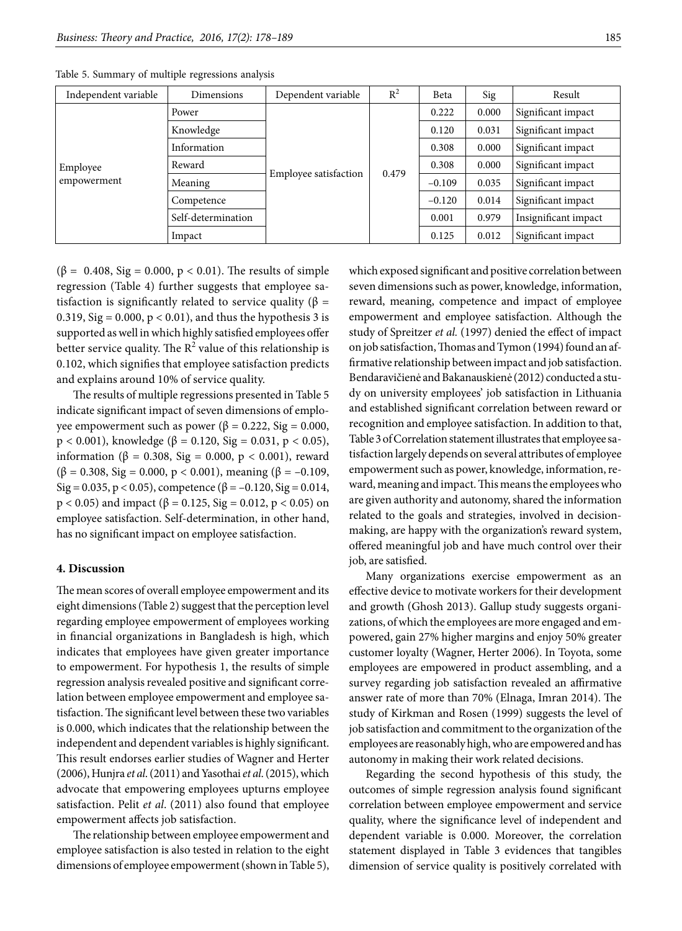| Independent variable<br>Dimensions |                    | Dependent variable    | $R^2$ | Beta     | Sig   | Result               |
|------------------------------------|--------------------|-----------------------|-------|----------|-------|----------------------|
|                                    | Power              |                       | 0.479 | 0.222    | 0.000 | Significant impact   |
|                                    | Knowledge          |                       |       | 0.120    | 0.031 | Significant impact   |
| Employee<br>empowerment            | Information        |                       |       | 0.308    | 0.000 | Significant impact   |
|                                    | Reward             | Employee satisfaction |       | 0.308    | 0.000 | Significant impact   |
|                                    | Meaning            |                       |       | $-0.109$ | 0.035 | Significant impact   |
|                                    | Competence         |                       |       | $-0.120$ | 0.014 | Significant impact   |
|                                    | Self-determination |                       |       | 0.001    | 0.979 | Insignificant impact |
|                                    | Impact             |                       |       | 0.125    | 0.012 | Significant impact   |

Table 5. Summary of multiple regressions analysis

(β = 0.408, Sig = 0.000, p < 0.01). The results of simple regression (Table 4) further suggests that employee satisfaction is significantly related to service quality ( $\beta$  = 0.319, Sig =  $0.000$ ,  $p < 0.01$ ), and thus the hypothesis 3 is supported as well in which highly satisfied employees offer better service quality. The  $\mathsf{R}^2$  value of this relationship is 0.102, which signifies that employee satisfaction predicts and explains around 10% of service quality.

The results of multiple regressions presented in Table 5 indicate significant impact of seven dimensions of employee empowerment such as power ( $β = 0.222$ , Sig = 0.000, p < 0.001), knowledge (β = 0.120, Sig = 0.031, p < 0.05), information (β = 0.308, Sig = 0.000, p < 0.001), reward ( $\beta$  = 0.308, Sig = 0.000, p < 0.001), meaning ( $\beta$  = -0.109, Sig = 0.035, p < 0.05), competence ( $\beta$  = -0.120, Sig = 0.014,  $p < 0.05$ ) and impact (β = 0.125, Sig = 0.012, p < 0.05) on employee satisfaction. Self-determination, in other hand, has no significant impact on employee satisfaction.

### **4. Discussion**

The mean scores of overall employee empowerment and its eight dimensions (Table 2) suggest that the perception level regarding employee empowerment of employees working in financial organizations in Bangladesh is high, which indicates that employees have given greater importance to empowerment. For hypothesis 1, the results of simple regression analysis revealed positive and significant correlation between employee empowerment and employee satisfaction. The significant level between these two variables is 0.000, which indicates that the relationship between the independent and dependent variables is highly significant. This result endorses earlier studies of Wagner and Herter (2006), Hunjra *et al*. (2011) and Yasothai *et al*. (2015), which advocate that empowering employees upturns employee satisfaction. Pelit *et al*. (2011) also found that employee empowerment affects job satisfaction.

The relationship between employee empowerment and employee satisfaction is also tested in relation to the eight dimensions of employee empowerment (shown in Table 5),

which exposed significant and positive correlation between seven dimensions such as power, knowledge, information, reward, meaning, competence and impact of employee empowerment and employee satisfaction. Although the study of Spreitzer *et al.* (1997) denied the effect of impact on job satisfaction, Thomas and Tymon (1994) found an affirmative relationship between impact and job satisfaction. Bendaravičienė and Bakanauskienė (2012) conducted a study on university employees' job satisfaction in Lithuania and established significant correlation between reward or recognition and employee satisfaction. In addition to that, Table 3 of Correlation statement illustrates that employee satisfaction largely depends on several attributes of employee empowerment such as power, knowledge, information, reward, meaning and impact. This means the employees who are given authority and autonomy, shared the information related to the goals and strategies, involved in decisionmaking, are happy with the organization's reward system, offered meaningful job and have much control over their job, are satisfied.

Many organizations exercise empowerment as an effective device to motivate workers for their development and growth (Ghosh 2013). Gallup study suggests organizations, of which the employees are more engaged and empowered, gain 27% higher margins and enjoy 50% greater customer loyalty (Wagner, Herter 2006). In Toyota, some employees are empowered in product assembling, and a survey regarding job satisfaction revealed an affirmative answer rate of more than 70% (Elnaga, Imran 2014). The study of Kirkman and Rosen (1999) suggests the level of job satisfaction and commitment to the organization of the employees are reasonably high, who are empowered and has autonomy in making their work related decisions.

Regarding the second hypothesis of this study, the outcomes of simple regression analysis found significant correlation between employee empowerment and service quality, where the significance level of independent and dependent variable is 0.000. Moreover, the correlation statement displayed in Table 3 evidences that tangibles dimension of service quality is positively correlated with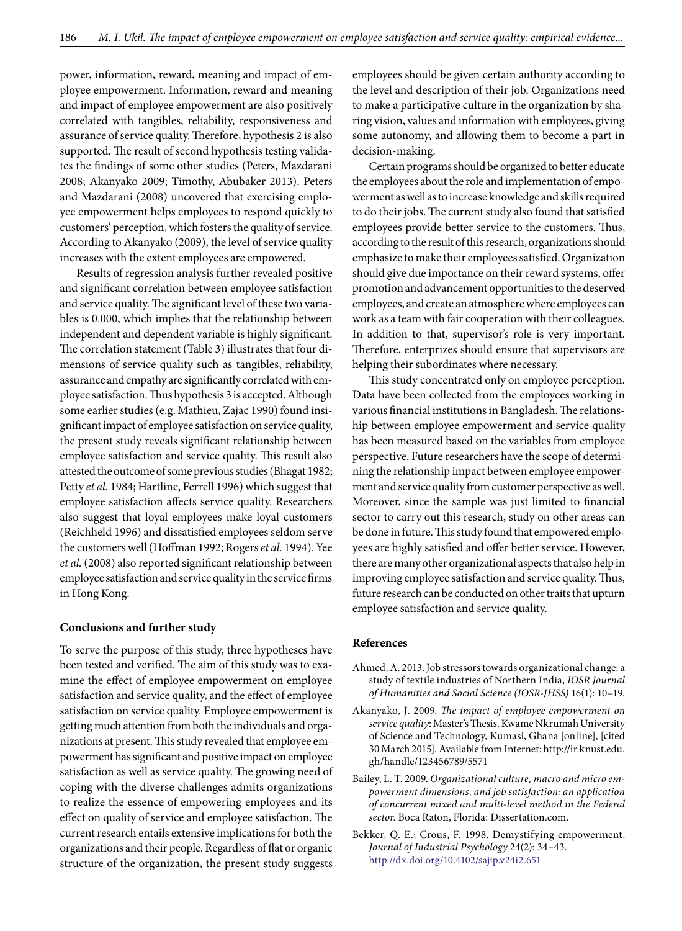power, information, reward, meaning and impact of employee empowerment. Information, reward and meaning and impact of employee empowerment are also positively correlated with tangibles, reliability, responsiveness and assurance of service quality. Therefore, hypothesis 2 is also supported. The result of second hypothesis testing validates the findings of some other studies (Peters, Mazdarani 2008; Akanyako 2009; Timothy, Abubaker 2013). Peters and Mazdarani (2008) uncovered that exercising employee empowerment helps employees to respond quickly to customers' perception, which fosters the quality of service. According to Akanyako (2009), the level of service quality increases with the extent employees are empowered.

Results of regression analysis further revealed positive and significant correlation between employee satisfaction and service quality. The significant level of these two variables is 0.000, which implies that the relationship between independent and dependent variable is highly significant. The correlation statement (Table 3) illustrates that four dimensions of service quality such as tangibles, reliability, assurance and empathy are significantly correlated with employee satisfaction. Thus hypothesis 3 is accepted. Although some earlier studies (e.g. Mathieu, Zajac 1990) found insignificant impact of employee satisfaction on service quality, the present study reveals significant relationship between employee satisfaction and service quality. This result also attested the outcome of some previous studies (Bhagat 1982; Petty *et al.* 1984; Hartline, Ferrell 1996) which suggest that employee satisfaction affects service quality. Researchers also suggest that loyal employees make loyal customers (Reichheld 1996) and dissatisfied employees seldom serve the customers well (Hoffman 1992; Rogers *et al.* 1994). Yee *et al.* (2008) also reported significant relationship between employee satisfaction and service quality in the service firms in Hong Kong.

### **Conclusions and further study**

To serve the purpose of this study, three hypotheses have been tested and verified. The aim of this study was to examine the effect of employee empowerment on employee satisfaction and service quality, and the effect of employee satisfaction on service quality. Employee empowerment is getting much attention from both the individuals and organizations at present. This study revealed that employee empowerment has significant and positive impact on employee satisfaction as well as service quality. The growing need of coping with the diverse challenges admits organizations to realize the essence of empowering employees and its effect on quality of service and employee satisfaction. The current research entails extensive implications for both the organizations and their people. Regardless of flat or organic structure of the organization, the present study suggests

employees should be given certain authority according to the level and description of their job. Organizations need to make a participative culture in the organization by sharing vision, values and information with employees, giving some autonomy, and allowing them to become a part in decision-making.

Certain programs should be organized to better educate the employees about the role and implementation of empowerment as well as to increase knowledge and skills required to do their jobs. The current study also found that satisfied employees provide better service to the customers. Thus, according to the result of this research, organizations should emphasize to make their employees satisfied. Organization should give due importance on their reward systems, offer promotion and advancement opportunities to the deserved employees, and create an atmosphere where employees can work as a team with fair cooperation with their colleagues. In addition to that, supervisor's role is very important. Therefore, enterprizes should ensure that supervisors are helping their subordinates where necessary.

This study concentrated only on employee perception. Data have been collected from the employees working in various financial institutions in Bangladesh. The relationship between employee empowerment and service quality has been measured based on the variables from employee perspective. Future researchers have the scope of determining the relationship impact between employee empowerment and service quality from customer perspective as well. Moreover, since the sample was just limited to financial sector to carry out this research, study on other areas can be done in future. This study found that empowered employees are highly satisfied and offer better service. However, there are many other organizational aspects that also help in improving employee satisfaction and service quality. Thus, future research can be conducted on other traits that upturn employee satisfaction and service quality.

### **References**

- Ahmed, A. 2013. Job stressors towards organizational change: a study of textile industries of Northern India, *IOSR Journal of Humanities and Social Science (IOSR-JHSS)* 16(1): 10–19.
- Akanyako, J. 2009. *The impact of employee empowerment on service quality*: Master's Thesis. Kwame Nkrumah University of Science and Technology, Kumasi, Ghana [online], [cited 30 March 2015]*.* Available from Internet: http://ir.knust.edu. gh/handle/123456789/5571
- Bailey, L. T. 2009. *Organizational culture, macro and micro empowerment dimensions, and job satisfaction: an application of concurrent mixed and multi-level method in the Federal sector*. Boca Raton, Florida: Dissertation.com.
- Bekker, Q. E.; Crous, F. 1998. Demystifying empowerment, *Journal of Industrial Psychology* 24(2): 34–43. <http://dx.doi.org/10.4102/sajip.v24i2.651>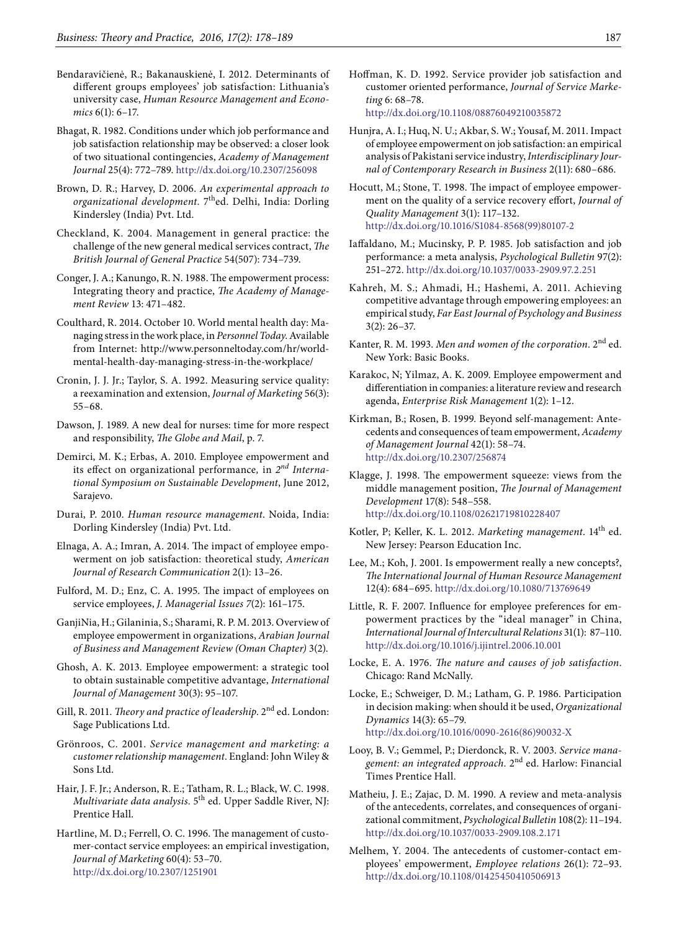- Bendaravičienė, R.; Bakanauskienė, I. 2012. Determinants of different groups employees' job satisfaction: Lithuania's university case, *Human Resource Management and Economics* 6(1): 6–17.
- Bhagat, R. 1982. Conditions under which job performance and job satisfaction relationship may be observed: a closer look of two situational contingencies, *Academy of Management Journal* 25(4): 772–789.<http://dx.doi.org/10.2307/256098>
- Brown, D. R.; Harvey, D. 2006. *An experimental approach to organizational development*. 7thed. Delhi, India: Dorling Kindersley (India) Pvt. Ltd.
- Checkland, K. 2004. Management in general practice: the challenge of the new general medical services contract, *The British Journal of General Practice* 54(507): 734–739.
- Conger, J. A.; Kanungo, R. N. 1988. The empowerment process: Integrating theory and practice, *The Academy of Management Review* 13: 471–482.
- Coulthard, R. 2014. October 10. World mental health day: Managing stress in the work place, in *Personnel Today*. Available from Internet: http://www.personneltoday.com/hr/worldmental-health-day-managing-stress-in-the-workplace/
- Cronin, J. J. Jr.; Taylor, S. A. 1992. Measuring service quality: a reexamination and extension, *Journal of Marketing* 56(3): 55–68.
- Dawson, J. 1989. A new deal for nurses: time for more respect and responsibility, *The Globe and Mail*, p. 7.
- Demirci, M. K.; Erbas, A. 2010. Employee empowerment and its effect on organizational performance*,* in *2nd International Symposium on Sustainable Development*, June 2012, Sarajevo.
- Durai, P. 2010. *Human resource management*. Noida, India: Dorling Kindersley (India) Pvt. Ltd.
- Elnaga, A. A.; Imran, A. 2014. The impact of employee empowerment on job satisfaction: theoretical study, *American Journal of Research Communication* 2(1): 13–26.
- Fulford, M. D.; Enz, C. A. 1995. The impact of employees on service employees, *J. Managerial Issues 7*(2): 161–175.
- GanjiNia, H.; Gilaninia, S.; Sharami, R. P. M. 2013. Overview of employee empowerment in organizations, *Arabian Journal of Business and Management Review (Oman Chapter)* 3(2).
- Ghosh, A. K. 2013. Employee empowerment: a strategic tool to obtain sustainable competitive advantage, *International Journal of Management* 30(3): 95–107.
- Gill, R. 2011. *Theory and practice of leadership*. 2<sup>nd</sup> ed. London: Sage Publications Ltd.
- Grönroos, C. 2001. *Service management and marketing: a customer relationship management*. England: John Wiley & Sons Ltd.
- Hair, J. F. Jr.; Anderson, R. E.; Tatham, R. L.; Black, W. C. 1998. *Multivariate data analysis*. 5th ed. Upper Saddle River, NJ: Prentice Hall.
- Hartline, M. D.; Ferrell, O. C. 1996. The management of customer-contact service employees: an empirical investigation, *Journal of Marketing* 60(4): 53–70. <http://dx.doi.org/10.2307/1251901>
- Hoffman, K. D. 1992. Service provider job satisfaction and customer oriented performance, *Journal of Service Marketing* 6: 68–78. <http://dx.doi.org/10.1108/08876049210035872>
- Hunjra, A. I.; Huq, N. U.; Akbar, S. W.; Yousaf, M. 2011. Impact of employee empowerment on job satisfaction: an empirical analysis of Pakistani service industry, *Interdisciplinary Journal of Contemporary Research in Business* 2(11): 680–686.
- Hocutt, M.; Stone, T. 1998. The impact of employee empowerment on the quality of a service recovery effort, *Journal of Quality Management* 3(1): 117–132. [http://dx.doi.org/10.1016/S1084-8568\(99\)80107-2](http://dx.doi.org/10.1016/S1084-8568(99)80107-2)
- Iaffaldano, M.; Mucinsky, P. P. 1985. Job satisfaction and job performance: a meta analysis, *Psychological Bulletin* 97(2): 251–272.<http://dx.doi.org/10.1037/0033-2909.97.2.251>
- Kahreh, M. S.; Ahmadi, H.; Hashemi, A. 2011. Achieving competitive advantage through empowering employees: an empirical study, *Far East Journal of Psychology and Business*  3(2): 26–37.
- Kanter, R. M. 1993. *Men and women of the corporation*. 2nd ed. New York: Basic Books.
- Karakoc, N; Yilmaz, A. K. 2009. Employee empowerment and differentiation in companies: a literature review and research agenda, *Enterprise Risk Management* 1(2): 1–12.
- Kirkman, B.; Rosen, B. 1999. Beyond self-management: Antecedents and consequences of team empowerment, *Academy of Management Journal* 42(1): 58–74. <http://dx.doi.org/10.2307/256874>
- Klagge, J. 1998. The empowerment squeeze: views from the middle management position, *The Journal of Management Development* 17(8): 548–558. <http://dx.doi.org/10.1108/02621719810228407>
- Kotler, P; Keller, K. L. 2012. *Marketing management*. 14th ed. New Jersey: Pearson Education Inc.
- Lee, M.; Koh, J. 2001. Is empowerment really a new concepts?, *The International Journal of Human Resource Management*  12(4): 684–695. <http://dx.doi.org/10.1080/713769649>
- Little, R. F. 2007. Influence for employee preferences for empowerment practices by the "ideal manager" in China, *International Journal of Intercultural Relations* 31(1): 87–110. <http://dx.doi.org/10.1016/j.ijintrel.2006.10.001>
- Locke, E. A. 1976. *The nature and causes of job satisfaction*. Chicago: Rand McNally.
- Locke, E.; Schweiger, D. M.; Latham, G. P. 1986. Participation in decision making: when should it be used, *Organizational Dynamics* 14(3): 65–79. [http://dx.doi.org/10.1016/0090-2616\(86\)90032-X](http://dx.doi.org/10.1016/0090-2616(86)90032-X)
- Looy, B. V.; Gemmel, P.; Dierdonck, R. V. 2003. *Service management: an integrated approach.* 2nd ed. Harlow: Financial Times Prentice Hall.
- Matheiu, J. E.; Zajac, D. M. 1990. A review and meta-analysis of the antecedents, correlates, and consequences of organizational commitment, *Psychological Bulletin* 108(2): 11–194. [http://dx.doi.org/10.1037/0033-2909.108.2.171](http://psycnet.apa.org/doi/10.1037/0033-2909.108.2.171)
- Melhem, Y. 2004. The antecedents of customer-contact employees' empowerment, *Employee relations* 26(1): 72–93. <http://dx.doi.org/10.1108/01425450410506913>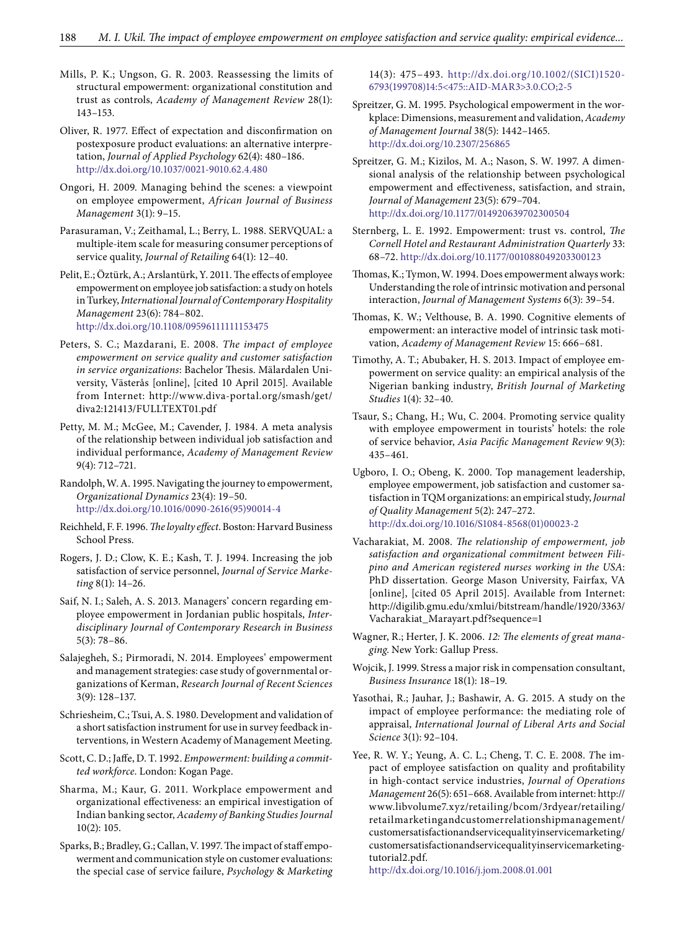Mills, P. K.; Ungson, G. R. 2003. Reassessing the limits of structural empowerment: organizational constitution and trust as controls, *Academy of Management Review* 28(1): 143–153.

Oliver, R. 1977. Effect of expectation and disconfirmation on postexposure product evaluations: an alternative interpretation, *Journal of Applied Psychology* 62(4): 480–186. <http://dx.doi.org/10.1037/0021-9010.62.4.480>

Ongori, H. 2009. Managing behind the scenes: a viewpoint on employee empowerment, *African Journal of Business Management* 3(1): 9–15.

Parasuraman, V.; Zeithamal, L.; Berry, L. 1988. SERVQUAL: a multiple-item scale for measuring consumer perceptions of service quality, *Journal of Retailing* 64(1): 12–40.

Pelit, E.; Öztürk, A.; Arslantürk, Y. 2011. The effects of employee empowerment on employee job satisfaction: a study on hotels in Turkey, *International Journal of Contemporary Hospitality Management* 23(6): 784–802. <http://dx.doi.org/10.1108/09596111111153475>

- Peters, S. C.; Mazdarani, E. 2008. *The impact of employee empowerment on service quality and customer satisfaction in service organizations*: Bachelor Thesis. Mälardalen University, Västerås [online], [cited 10 April 2015]. Available from Internet: http://www.diva-portal.org/smash/get/ diva2:121413/FULLTEXT01.pdf
- Petty, M. M.; McGee, M.; Cavender, J. 1984. A meta analysis of the relationship between individual job satisfaction and individual performance, *Academy of Management Review*  9(4): 712–721.
- Randolph, W. A. 1995. Navigating the journey to empowerment, *Organizational Dynamics* 23(4): 19–50. [http://dx.doi.org/10.1016/0090-2616\(95\)90014-4](http://dx.doi.org/10.1016/0090-2616(95)90014-4)
- Reichheld, F. F. 1996. *The loyalty effect*. Boston: Harvard Business School Press.
- Rogers, J. D.; Clow, K. E.; Kash, T. J. 1994. Increasing the job satisfaction of service personnel, *Journal of Service Marketing* 8(1): 14–26.
- Saif, N. I.; Saleh, A. S. 2013. Managers' concern regarding employee empowerment in Jordanian public hospitals, *Interdisciplinary Journal of Contemporary Research in Business*  5(3): 78–86.
- Salajegheh, S.; Pirmoradi, N. 2014. Employees' empowerment and management strategies: case study of governmental organizations of Kerman, *Research Journal of Recent Sciences*  3(9): 128–137.
- Schriesheim, C.; Tsui, A. S. 1980. Development and validation of a short satisfaction instrument for use in survey feedback interventions*,* in Western Academy of Management Meeting.

Scott, C. D.; Jaffe, D. T. 1992. *Empowerment: building a committed workforce*. London: Kogan Page.

Sharma, M.; Kaur, G. 2011. Workplace empowerment and organizational effectiveness: an empirical investigation of Indian banking sector, *Academy of Banking Studies Journal*  10(2): 105.

Sparks, B.; Bradley, G.; Callan, V. 1997. The impact of staff empowerment and communication style on customer evaluations: the special case of service failure, *Psychology* & *Marketing*  14(3): 475–493. [http://dx.doi.org/10.1002/\(SICI\)1520-](http://dx.doi.org/10.1002/(SICI)1520-6793(199708)14:5%3C475::AID-MAR3%3E3.0.CO;2-5)[6793\(199708\)14:5<475::AID-MAR3>3.0.CO;2-5](http://dx.doi.org/10.1002/(SICI)1520-6793(199708)14:5%3C475::AID-MAR3%3E3.0.CO;2-5)

Spreitzer, G. M. 1995. Psychological empowerment in the workplace: Dimensions, measurement and validation, *Academy of Management Journal* 38(5): 1442–1465. <http://dx.doi.org/10.2307/256865>

Spreitzer, G. M.; Kizilos, M. A.; Nason, S. W. 1997. A dimensional analysis of the relationship between psychological empowerment and effectiveness, satisfaction, and strain, *Journal of Management* 23(5): 679–704. <http://dx.doi.org/10.1177/014920639702300504>

- Sternberg, L. E. 1992. Empowerment: trust vs. control, *The Cornell Hotel and Restaurant Administration Quarterly* 33: 68–72. <http://dx.doi.org/10.1177/001088049203300123>
- Thomas, K.; Tymon, W. 1994. Does empowerment always work: Understanding the role of intrinsic motivation and personal interaction, *Journal of Management Systems* 6(3): 39–54.

Thomas, K. W.; Velthouse, B. A. 1990. Cognitive elements of empowerment: an interactive model of intrinsic task motivation, *Academy of Management Review* 15: 666–681.

- Timothy, A. T.; Abubaker, H. S. 2013. Impact of employee empowerment on service quality: an empirical analysis of the Nigerian banking industry, *British Journal of Marketing Studies* 1(4): 32–40.
- Tsaur, S.; Chang, H.; Wu, C. 2004. Promoting service quality with employee empowerment in tourists' hotels: the role of service behavior, *Asia Pacific Management Review* 9(3): 435–461.
- Ugboro, I. O.; Obeng, K. 2000. Top management leadership, employee empowerment, job satisfaction and customer satisfaction in TQM organizations: an empirical study, *Journal of Quality Management* 5(2): 247–272. [http://dx.doi.org/10.1016/S1084-8568\(01\)00023-2](http://dx.doi.org/10.1016/S1084-8568(01)00023-2)
- Vacharakiat, M. 2008. *The relationship of empowerment, job satisfaction and organizational commitment between Filipino and American registered nurses working in the USA*: PhD dissertation. George Mason University, Fairfax, VA [online], [cited 05 April 2015]. Available from Internet: http://digilib.gmu.edu/xmlui/bitstream/handle/1920/3363/ Vacharakiat\_Marayart.pdf?sequence=1
- Wagner, R.; Herter, J. K. 2006. *12: The elements of great managing*. New York: Gallup Press.
- Wojcik, J. 1999. Stress a major risk in compensation consultant, *Business Insurance* 18(1): 18–19.
- Yasothai, R.; Jauhar, J.; Bashawir, A. G. 2015. A study on the impact of employee performance: the mediating role of appraisal, *International Journal of Liberal Arts and Social Science* 3(1): 92–104.
- Yee, R. W. Y.; Yeung, A. C. L.; Cheng, T. C. E. 2008. *T*he impact of employee satisfaction on quality and profitability in high-contact service industries, *Journal of Operations Management* 26(5): 651–668. Available from internet: http:// www.libvolume7.xyz/retailing/bcom/3rdyear/retailing/ retailmarketingandcustomerrelationshipmanagement/ customersatisfactionandservicequalityinservicemarketing/ customersatisfactionandservicequalityinservicemarketingtutorial2.pdf.

http://dx.doi.org/10.1016/j.jom.2008.01.001